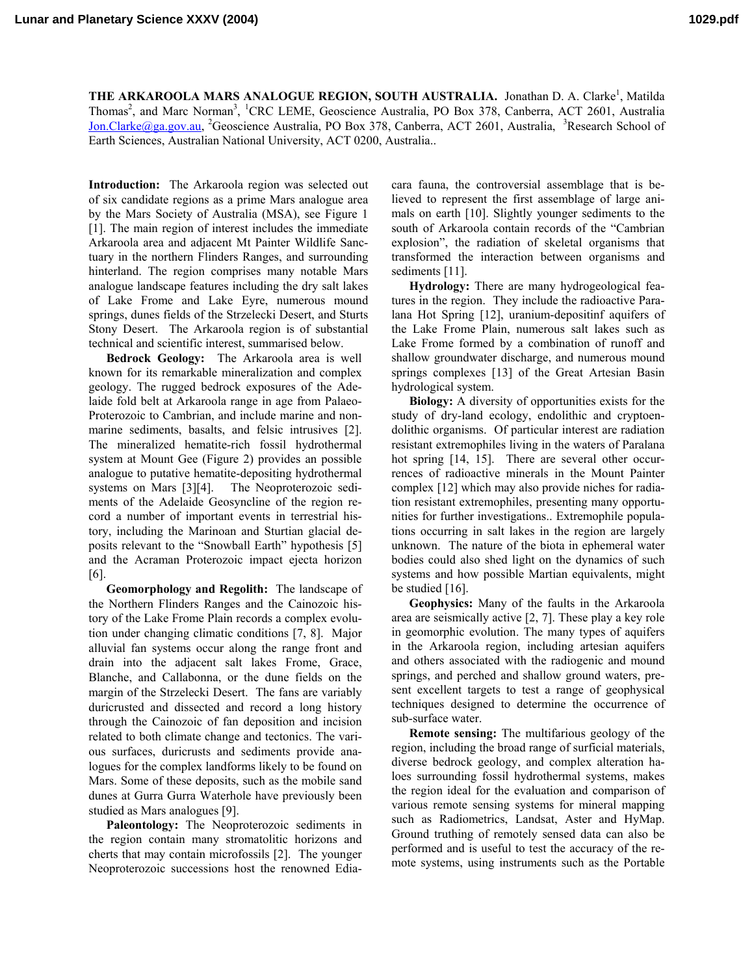THE ARKAROOLA MARS ANALOGUE REGION, SOUTH AUSTRALIA. Jonathan D. A. Clarke<sup>1</sup>, Matilda Thomas<sup>2</sup>, and Marc Norman<sup>3</sup>, <sup>1</sup>CRC LEME, Geoscience Australia, PO Box 378, Canberra, ACT 2601, Australia Jon.Clarke@ga.gov.au, <sup>2</sup>Geoscience Australia, PO Box 378, Canberra, ACT 2601, Australia, <sup>3</sup>Research School of Earth Sciences, Australian National University, ACT 0200, Australia..

**Introduction:** The Arkaroola region was selected out of six candidate regions as a prime Mars analogue area by the Mars Society of Australia (MSA), see Figure 1 [1]. The main region of interest includes the immediate Arkaroola area and adjacent Mt Painter Wildlife Sanctuary in the northern Flinders Ranges, and surrounding hinterland. The region comprises many notable Mars analogue landscape features including the dry salt lakes of Lake Frome and Lake Eyre, numerous mound springs, dunes fields of the Strzelecki Desert, and Sturts Stony Desert. The Arkaroola region is of substantial technical and scientific interest, summarised below.

**Bedrock Geology:** The Arkaroola area is well known for its remarkable mineralization and complex geology. The rugged bedrock exposures of the Adelaide fold belt at Arkaroola range in age from Palaeo-Proterozoic to Cambrian, and include marine and nonmarine sediments, basalts, and felsic intrusives [2]. The mineralized hematite-rich fossil hydrothermal system at Mount Gee (Figure 2) provides an possible analogue to putative hematite-depositing hydrothermal systems on Mars [3][4]. The Neoproterozoic sediments of the Adelaide Geosyncline of the region record a number of important events in terrestrial history, including the Marinoan and Sturtian glacial deposits relevant to the "Snowball Earth" hypothesis [5] and the Acraman Proterozoic impact ejecta horizon [6].

**Geomorphology and Regolith:** The landscape of the Northern Flinders Ranges and the Cainozoic history of the Lake Frome Plain records a complex evolution under changing climatic conditions [7, 8]. Major alluvial fan systems occur along the range front and drain into the adjacent salt lakes Frome, Grace, Blanche, and Callabonna, or the dune fields on the margin of the Strzelecki Desert. The fans are variably duricrusted and dissected and record a long history through the Cainozoic of fan deposition and incision related to both climate change and tectonics. The various surfaces, duricrusts and sediments provide analogues for the complex landforms likely to be found on Mars. Some of these deposits, such as the mobile sand dunes at Gurra Gurra Waterhole have previously been studied as Mars analogues [9].

**Paleontology:** The Neoproterozoic sediments in the region contain many stromatolitic horizons and cherts that may contain microfossils [2]. The younger Neoproterozoic successions host the renowned Ediacara fauna, the controversial assemblage that is believed to represent the first assemblage of large animals on earth [10]. Slightly younger sediments to the south of Arkaroola contain records of the "Cambrian explosion", the radiation of skeletal organisms that transformed the interaction between organisms and sediments [11].

**Hydrology:** There are many hydrogeological features in the region. They include the radioactive Paralana Hot Spring [12], uranium-depositinf aquifers of the Lake Frome Plain, numerous salt lakes such as Lake Frome formed by a combination of runoff and shallow groundwater discharge, and numerous mound springs complexes [13] of the Great Artesian Basin hydrological system.

**Biology:** A diversity of opportunities exists for the study of dry-land ecology, endolithic and cryptoendolithic organisms. Of particular interest are radiation resistant extremophiles living in the waters of Paralana hot spring [14, 15]. There are several other occurrences of radioactive minerals in the Mount Painter complex [12] which may also provide niches for radiation resistant extremophiles, presenting many opportunities for further investigations.. Extremophile populations occurring in salt lakes in the region are largely unknown. The nature of the biota in ephemeral water bodies could also shed light on the dynamics of such systems and how possible Martian equivalents, might be studied [16].

**Geophysics:** Many of the faults in the Arkaroola area are seismically active [2, 7]. These play a key role in geomorphic evolution. The many types of aquifers in the Arkaroola region, including artesian aquifers and others associated with the radiogenic and mound springs, and perched and shallow ground waters, present excellent targets to test a range of geophysical techniques designed to determine the occurrence of sub-surface water.

**Remote sensing:** The multifarious geology of the region, including the broad range of surficial materials, diverse bedrock geology, and complex alteration haloes surrounding fossil hydrothermal systems, makes the region ideal for the evaluation and comparison of various remote sensing systems for mineral mapping such as Radiometrics, Landsat, Aster and HyMap. Ground truthing of remotely sensed data can also be performed and is useful to test the accuracy of the remote systems, using instruments such as the Portable